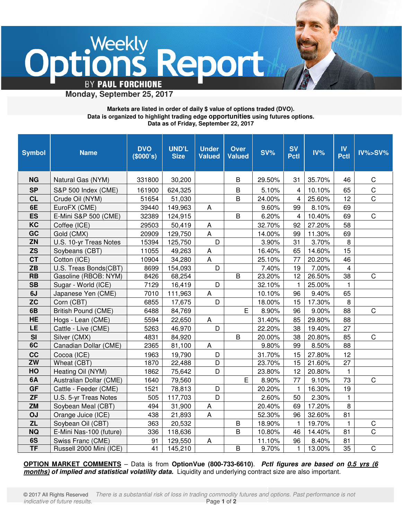

 **Monday, September 25, 2017**

## **Markets are listed in order of daily \$ value of options traded (DVO). Data is organized to highlight trading edge opportunities using futures options. Data as of Friday, September 22, 2017**

| <b>Symbol</b>          | <b>Name</b>                | <b>DVO</b><br>(\$000's) | <b>UND'L</b><br><b>Size</b> | <b>Under</b><br><b>Valued</b> | <b>Over</b><br><b>Valued</b> | $SV\%$ | <b>SV</b><br><b>Pctl</b> | $IV\%$ | $\mathbf{N}$<br><b>Pctl</b> | $IV\% > SV\%$  |
|------------------------|----------------------------|-------------------------|-----------------------------|-------------------------------|------------------------------|--------|--------------------------|--------|-----------------------------|----------------|
| <b>NG</b>              | Natural Gas (NYM)          | 331800                  | 30,200                      |                               | B                            | 29.50% | 31                       | 35.70% | 46                          | C              |
| <b>SP</b>              | S&P 500 Index (CME)        | 161900                  | 624,325                     |                               | B                            | 5.10%  | 4                        | 10.10% | 65                          | $\mathsf C$    |
| <b>CL</b>              | Crude Oil (NYM)            | 51654                   | 51,030                      |                               | B                            | 24.00% | 4                        | 25.60% | 12                          | $\mathsf C$    |
| 6E                     | EuroFX (CME)               | 39440                   | 149,963                     | A                             |                              | 9.60%  | 99                       | 8.10%  | 69                          |                |
| <b>ES</b>              | E-Mini S&P 500 (CME)       | 32389                   | 124,915                     |                               | B                            | 6.20%  | $\overline{4}$           | 10.40% | 69                          | $\mathsf C$    |
| KC                     | Coffee (ICE)               | 29503                   | 50,419                      | A                             |                              | 32.70% | 92                       | 27.20% | 58                          |                |
| GC                     | Gold (CMX)                 | 20909                   | 129,750                     | A                             |                              | 14.00% | 99                       | 11.30% | 69                          |                |
| <b>ZN</b>              | U.S. 10-yr Treas Notes     | 15394                   | 125,750                     | D                             |                              | 3.90%  | 31                       | 3.70%  | 8                           |                |
| <b>ZS</b>              | Soybeans (CBT)             | 11055                   | 49,263                      | A                             |                              | 16.40% | 65                       | 14.60% | 15                          |                |
| <b>CT</b>              | Cotton (ICE)               | 10904                   | 34,280                      | $\overline{A}$                |                              | 25.10% | 77                       | 20.20% | 46                          |                |
| ZB                     | U.S. Treas Bonds(CBT)      | 8699                    | 154,093                     | D                             |                              | 7.40%  | 19                       | 7.00%  | $\overline{4}$              |                |
| <b>RB</b>              | Gasoline (RBOB: NYM)       | 8426                    | 68,254                      |                               | B                            | 23.20% | 12                       | 26.50% | 38                          | $\mathsf C$    |
| <b>SB</b>              | Sugar - World (ICE)        | 7129                    | 16,419                      | D                             |                              | 32.10% | -1                       | 25.00% | $\mathbf{1}$                |                |
| 6J                     | Japanese Yen (CME)         | 7010                    | 111,963                     | A                             |                              | 10.10% | 96                       | 9.40%  | 65                          |                |
| zc                     | Corn (CBT)                 | 6855                    | 17,675                      | D                             |                              | 18.00% | 15                       | 17.30% | 8                           |                |
| 6B                     | <b>British Pound (CME)</b> | 6488                    | 84,769                      |                               | E                            | 8.90%  | 96                       | 9.00%  | 88                          | $\mathsf C$    |
| <b>HE</b>              | Hogs - Lean (CME)          | 5594                    | 22,650                      | A                             |                              | 31.40% | 85                       | 29.80% | 88                          |                |
| LE                     | Cattle - Live (CME)        | 5263                    | 46,970                      | D                             |                              | 22.20% | 38                       | 19.40% | 27                          |                |
| <b>SI</b>              | Silver (CMX)               | 4831                    | 84,920                      |                               | B                            | 20.00% | 38                       | 20.80% | 85                          | $\mathsf C$    |
| 6C                     | Canadian Dollar (CME)      | 2365                    | 81,100                      | A                             |                              | 9.80%  | 99                       | 8.50%  | 88                          |                |
| cc                     | Cocoa (ICE)                | 1963                    | 19,790                      | D                             |                              | 31.70% | 15                       | 27.80% | 12                          |                |
| ZW                     | Wheat (CBT)                | 1870                    | 22,488                      | $\overline{D}$                |                              | 23.70% | 15                       | 21.60% | 27                          |                |
| HO                     | Heating Oil (NYM)          | 1862                    | 75,642                      | D                             |                              | 23.80% | 12                       | 20.80% | 1                           |                |
| 6A                     | Australian Dollar (CME)    | 1640                    | 79,560                      |                               | E                            | 8.90%  | 77                       | 9.10%  | 73                          | $\mathsf C$    |
| <b>GF</b>              | Cattle - Feeder (CME)      | 1521                    | 78,813                      | D                             |                              | 20.20% | $\mathbf{1}$             | 16.30% | 19                          |                |
| <b>ZF</b>              | U.S. 5-yr Treas Notes      | 505                     | 117,703                     | D                             |                              | 2.60%  | 50                       | 2.30%  | $\mathbf{1}$                |                |
| <b>ZM</b>              | Soybean Meal (CBT)         | 494                     | 31,900                      | A                             |                              | 20.40% | 69                       | 17.20% | 8                           |                |
| OJ                     | Orange Juice (ICE)         | 438                     | 21,893                      | A                             |                              | 52.30% | 96                       | 32.60% | 81                          |                |
| <b>ZL</b>              | Soybean Oil (CBT)          | 363                     | 20,532                      |                               | B                            | 18.90% | 1                        | 19.70% | $\mathbf{1}$                | $\mathsf C$    |
| <b>NQ</b>              | E-Mini Nas-100 (future)    | 336                     | 118,636                     |                               | $\mathsf B$                  | 10.80% | 46                       | 14.40% | 81                          | $\overline{C}$ |
| 6S                     | Swiss Franc (CME)          | 91                      | 129,550                     | A                             |                              | 11.10% | 96                       | 8.40%  | 81                          |                |
| $\overline{\text{TF}}$ | Russell 2000 Mini (ICE)    | 41                      | 145,210                     |                               | $\overline{B}$               | 9.70%  | 1                        | 13.00% | 35                          | $\overline{C}$ |

**OPTION MARKET COMMENTS** – Data is from **OptionVue (800-733-6610)**. Pctl figures are based on 0.5 yrs (6 **months) of implied and statistical volatility data.** Liquidity and underlying contract size are also important.